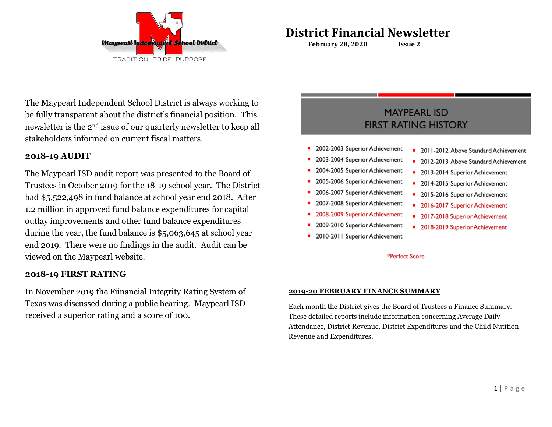

 **February 28, 2020 Issue 2**

**\_\_\_\_\_\_\_\_\_\_\_\_\_\_\_\_\_\_\_\_\_\_\_\_\_\_\_\_\_\_\_\_\_\_\_\_\_\_\_\_\_\_\_\_\_\_\_\_\_\_\_\_\_\_\_\_\_\_\_\_\_\_\_\_\_\_\_\_\_\_\_\_\_\_\_\_\_\_\_\_\_\_\_\_\_\_\_\_\_\_\_\_\_\_\_\_\_\_\_\_\_\_\_\_\_\_\_\_\_\_\_\_\_\_\_\_\_\_\_\_\_\_\_\_\_\_\_\_\_\_\_\_\_\_\_\_\_\_\_\_\_\_\_\_\_\_\_\_\_\_\_\_\_\_\_\_\_\_\_\_\_\_\_\_\_\_\_\_\_\_\_\_\_\_\_\_\_\_\_\_\_\_\_\_\_\_\_\_\_\_\_\_\_\_\_\_\_\_\_\_\_\_\_\_\_\_\_\_\_\_\_\_\_\_\_\_\_\_\_\_\_\_\_\_\_\_\_\_\_\_\_\_\_\_\_\_**

The Maypearl Independent School District is always working to be fully transparent about the district's financial position. This newsletter is the 2nd issue of our quarterly newsletter to keep all stakeholders informed on current fiscal matters.

# **2018-19 AUDIT**

The Maypearl ISD audit report was presented to the Board of Trustees in October 2019 for the 18-19 school year. The District had \$5,522,498 in fund balance at school year end 2018. After 1.2 million in approved fund balance expenditures for capital outlay improvements and other fund balance expenditures during the year, the fund balance is \$5,063,645 at school year end 2019. There were no findings in the audit. Audit can be viewed on the Maypearl website.

## **2018-19 FIRST RATING**

In November 2019 the Fiinancial Integrity Rating System of Texas was discussed during a public hearing. Maypearl ISD received a superior rating and a score of 100.

# **MAYPEARL ISD FIRST RATING HISTORY**

- 2002-2003 Superior Achievement
- 2003-2004 Superior Achievement
- 2004-2005 Superior Achievement
- 2005-2006 Superior Achievement
- 2006-2007 Superior Achievement
- 2007-2008 Superior Achievement
- 2008-2009 Superior Achievement
- 2009-2010 Superior Achievement
- 2010-2011 Superior Achievement
- 2011-2012 Above Standard Achievement
- 2012-2013 Above Standard Achievement
- 2013-2014 Superior Achievement
- 2014-2015 Superior Achievement
- 2015-2016 Superior Achievement
- 2016-2017 Superior Achievement
- 2017-2018 Superior Achievement
- 2018-2019 Superior Achievement

### \*Perfect Score

### **2019-20 FEBRUARY FINANCE SUMMARY**

Each month the District gives the Board of Trustees a Finance Summary. These detailed reports include information concerning Average Daily Attendance, District Revenue, District Expenditures and the Child Nutition Revenue and Expenditures.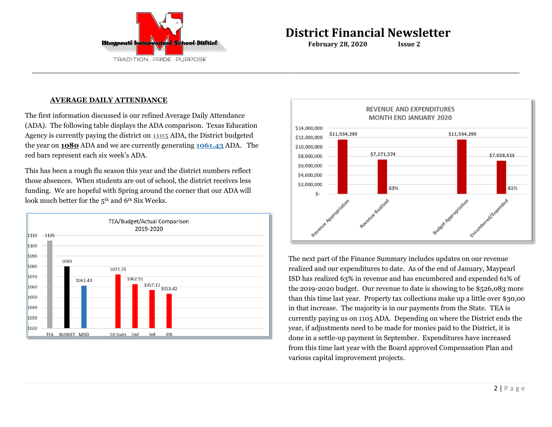

 **February 28, 2020 Issue 2**

**\_\_\_\_\_\_\_\_\_\_\_\_\_\_\_\_\_\_\_\_\_\_\_\_\_\_\_\_\_\_\_\_\_\_\_\_\_\_\_\_\_\_\_\_\_\_\_\_\_\_\_\_\_\_\_\_\_\_\_\_\_\_\_\_\_\_\_\_\_\_\_\_\_\_\_\_\_\_\_\_\_\_\_\_\_\_\_\_\_\_\_\_\_\_\_\_\_\_\_\_\_\_\_\_\_\_\_\_\_\_\_\_\_\_\_\_\_\_\_\_\_\_\_\_\_\_\_\_\_\_\_\_\_\_\_\_\_\_\_\_\_\_\_\_\_\_\_\_\_\_\_\_\_\_\_\_\_\_\_\_\_\_\_\_\_\_\_\_\_\_\_\_\_\_\_\_\_\_\_\_\_\_\_\_\_\_\_\_\_\_\_\_\_\_\_\_\_\_\_\_\_\_\_\_\_\_\_\_\_\_\_\_\_\_\_\_\_\_\_\_\_\_\_\_\_\_\_\_\_\_\_\_\_\_\_\_**

### **AVERAGE DAILY ATTENDANCE**

The first information discussed is our refined Average Daily Attendance (ADA). The following table displays the ADA comparison. Texas Education Agency is currently paying the district on **1105** ADA, the District budgeted the year on **1080** ADA and we are currently generating **1061.43** ADA. The red bars represent each six week's ADA.

This has been a rough flu season this year and the district numbers reflect those absences. When students are out of school, the district receives less funding. We are hopeful with Spring around the corner that our ADA will look much better for the 5<sup>th</sup> and 6<sup>th</sup> Six Weeks.





The next part of the Finance Summary includes updates on our revenue realized and our expenditures to date. As of the end of January, Maypearl ISD has realized 63% in revenue and has encumbered and expended 61% of the 2019-2020 budget. Our revenue to date is showing to be \$526,083 more than this time last year. Property tax collections make up a little over \$30,00 in that increase. The majority is in our payments from the State. TEA is currently paying us on 1105 ADA. Depending on where the District ends the year, if adjustments need to be made for monies paid to the District, it is done in a settle-up payment in September. Expenditures have increased from this time last year with the Board approved Compensation Plan and various capital improvement projects.